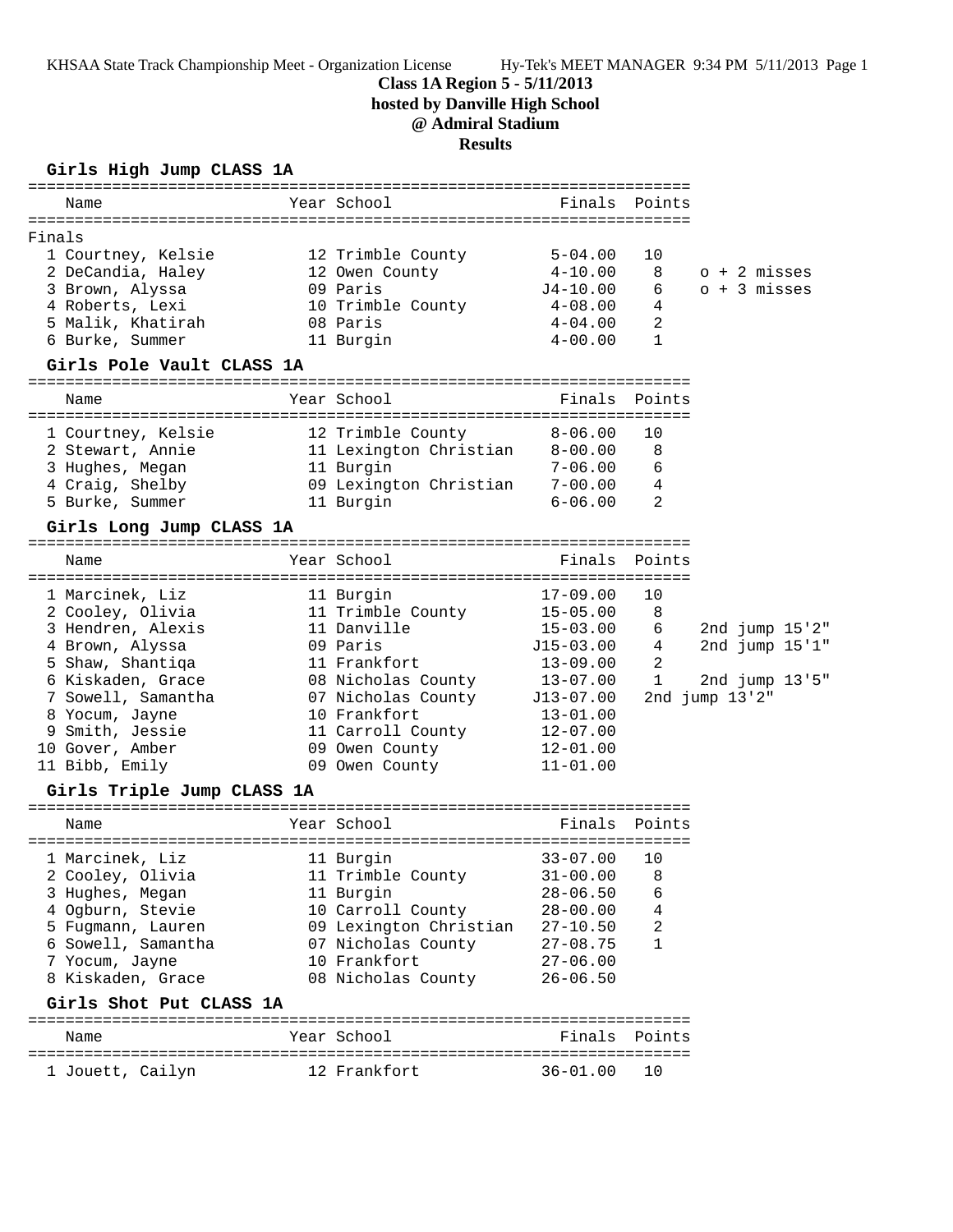KHSAA State Track Championship Meet - Organization License Hy-Tek's MEET MANAGER 9:34 PM 5/11/2013 Page 1

## **Class 1A Region 5 - 5/11/2013**

**hosted by Danville High School**

# **@ Admiral Stadium**

**Results**

|                                    |                                                            | <b>Results</b>                                                                     |                                                          |                     |                |                                  |
|------------------------------------|------------------------------------------------------------|------------------------------------------------------------------------------------|----------------------------------------------------------|---------------------|----------------|----------------------------------|
| Name                               | Girls High Jump CLASS 1A<br>============================== | Year School                                                                        | Finals                                                   | Points              |                |                                  |
|                                    |                                                            |                                                                                    |                                                          |                     |                |                                  |
| Finals                             | 1 Courtney, Kelsie<br>2 DeCandia, Haley                    | 12 Trimble County<br>12 Owen County                                                | $5 - 04.00$<br>$4 - 10.00$                               | 10<br>8             | o + 2 misses   |                                  |
| 3 Brown, Alyssa<br>4 Roberts, Lexi | 5 Malik, Khatirah                                          | 09 Paris<br>10 Trimble County<br>08 Paris                                          | J4-10.00<br>$4 - 08.00$<br>$4 - 04.00$                   | 6<br>4<br>2         | $o + 3$ misses |                                  |
| 6 Burke, Summer                    |                                                            | 11 Burgin                                                                          | $4 - 00.00$                                              | $\mathbf{1}$        |                |                                  |
|                                    | Girls Pole Vault CLASS 1A                                  |                                                                                    |                                                          |                     |                |                                  |
| Name                               |                                                            | Year School                                                                        | Finals                                                   | Points              |                |                                  |
| 3 Hughes, Megan<br>4 Craig, Shelby | 1 Courtney, Kelsie<br>2 Stewart, Annie                     | 12 Trimble County<br>11 Lexington Christian<br>11 Burgin<br>09 Lexington Christian | $8 - 06.00$<br>$8 - 00.00$<br>$7 - 06.00$<br>$7 - 00.00$ | 10<br>8<br>6<br>4   |                |                                  |
| 5 Burke, Summer                    |                                                            | 11 Burgin                                                                          | $6 - 06.00$                                              | 2                   |                |                                  |
|                                    | Girls Long Jump CLASS 1A                                   |                                                                                    |                                                          |                     |                |                                  |
| Name                               |                                                            | Year School                                                                        | Finals                                                   | Points              |                |                                  |
|                                    |                                                            |                                                                                    |                                                          |                     |                |                                  |
| 1 Marcinek, Liz                    | 2 Cooley, Olivia                                           | 11 Burgin<br>11 Trimble County                                                     | $17 - 09.00$<br>$15 - 05.00$                             | 10<br>8             |                |                                  |
| 4 Brown, Alyssa                    | 3 Hendren, Alexis<br>5 Shaw, Shantiqa                      | 11 Danville<br>09 Paris<br>11 Frankfort                                            | 15-03.00<br>$J15-03.00$<br>$13 - 09.00$                  | 6<br>4<br>2         |                | 2nd jump 15'2"<br>2nd jump 15'1" |
|                                    | 6 Kiskaden, Grace<br>7 Sowell, Samantha                    | 08 Nicholas County<br>07 Nicholas County                                           | $13 - 07.00$<br>J13-07.00                                | 1                   | 2nd jump 13'2" | 2nd jump 13'5"                   |
| 8 Yocum, Jayne<br>9 Smith, Jessie  |                                                            | 10 Frankfort<br>11 Carroll County                                                  | $13 - 01.00$<br>$12 - 07.00$                             |                     |                |                                  |
| 10 Gover, Amber<br>11 Bibb, Emily  |                                                            | 09 Owen County<br>09 Owen County                                                   | $12 - 01.00$<br>$11 - 01.00$                             |                     |                |                                  |
|                                    | Girls Triple Jump CLASS 1A                                 |                                                                                    |                                                          |                     |                |                                  |
| Name                               |                                                            | Year School                                                                        | Finals                                                   | Points              |                |                                  |
| 1 Marcinek, Liz                    |                                                            | 11 Burgin                                                                          | $33 - 07.00$                                             | 10                  |                |                                  |
|                                    | 2 Cooley, Olivia                                           | 11 Trimble County                                                                  | $31 - 00.00$                                             | 8                   |                |                                  |
| 3 Hughes, Megan                    |                                                            | 11 Burgin                                                                          | $28 - 06.50$                                             | 6                   |                |                                  |
|                                    | 4 Ogburn, Stevie                                           | 10 Carroll County                                                                  | $28 - 00.00$                                             | 4<br>$\overline{a}$ |                |                                  |
|                                    | 5 Fugmann, Lauren<br>6 Sowell, Samantha                    | 09 Lexington Christian<br>07 Nicholas County                                       | $27 - 10.50$<br>$27 - 08.75$                             | $\mathbf{1}$        |                |                                  |
| 7 Yocum, Jayne                     |                                                            | 10 Frankfort                                                                       | $27 - 06.00$                                             |                     |                |                                  |
|                                    | 8 Kiskaden, Grace                                          | 08 Nicholas County                                                                 | $26 - 06.50$                                             |                     |                |                                  |
|                                    | Girls Shot Put CLASS 1A                                    |                                                                                    |                                                          |                     |                |                                  |

======================================================================= Name The Year School The Finals Points ======================================================================= 1 Jouett, Cailyn 12 Frankfort 36-01.00 10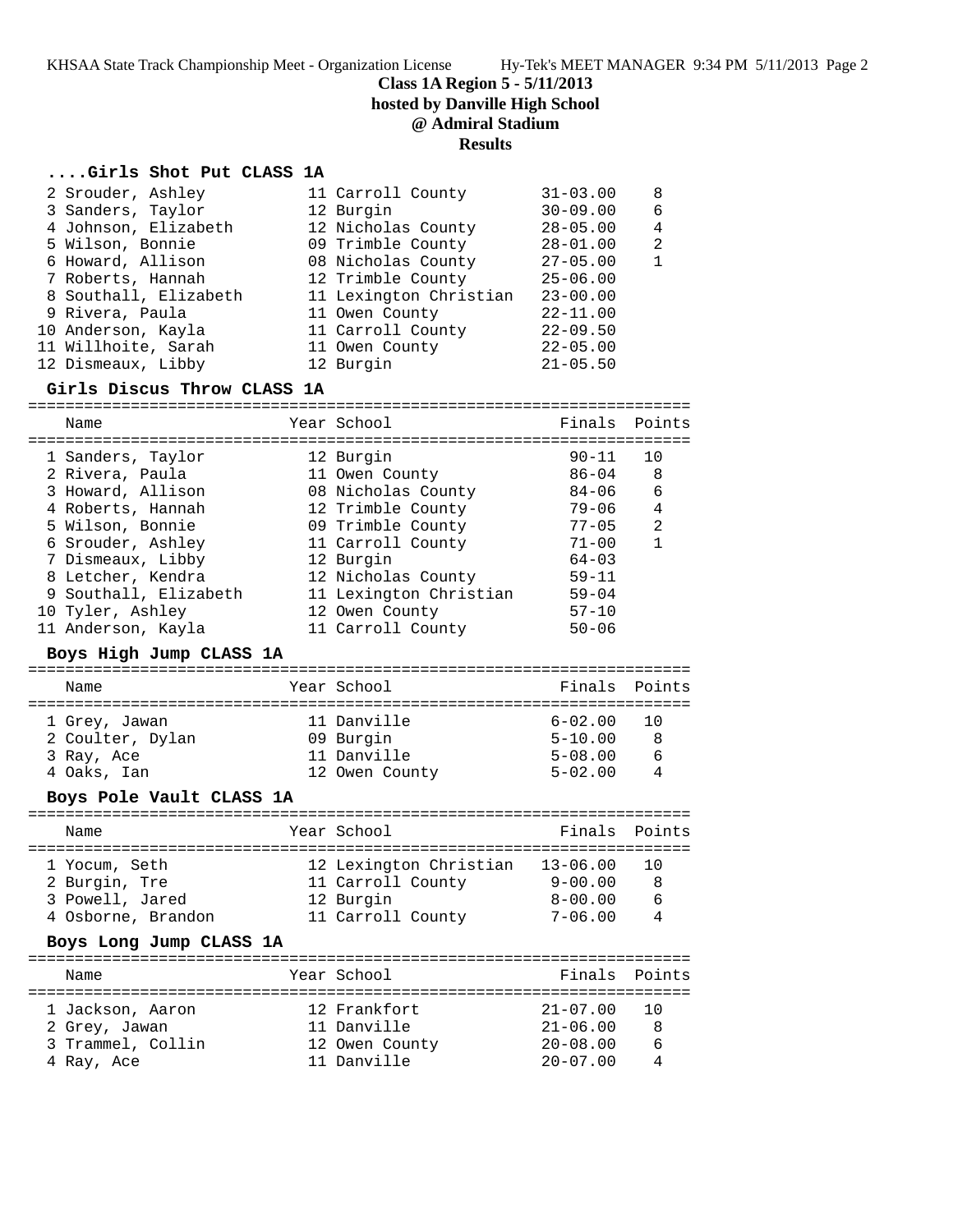**Class 1A Region 5 - 5/11/2013**

**hosted by Danville High School**

# **@ Admiral Stadium**

# **Results**

## **....Girls Shot Put CLASS 1A**

|  | 2 Srouder, Ashley     | 11 Carroll County      | $31 - 03.00$ | 8            |
|--|-----------------------|------------------------|--------------|--------------|
|  | 3 Sanders, Taylor     | 12 Burgin              | $30 - 09.00$ | 6            |
|  | 4 Johnson, Elizabeth  | 12 Nicholas County     | $28 - 05.00$ | 4            |
|  | 5 Wilson, Bonnie      | 09 Trimble County      | $28 - 01.00$ | 2            |
|  | 6 Howard, Allison     | 08 Nicholas County     | $27 - 05.00$ | $\mathbf{1}$ |
|  | 7 Roberts, Hannah     | 12 Trimble County      | $25 - 06.00$ |              |
|  | 8 Southall, Elizabeth | 11 Lexington Christian | $23 - 00.00$ |              |
|  | 9 Rivera, Paula       | 11 Owen County         | $22 - 11.00$ |              |
|  | 10 Anderson, Kayla    | 11 Carroll County      | $22 - 09.50$ |              |
|  | 11 Willhoite, Sarah   | 11 Owen County         | $22 - 05.00$ |              |
|  | 12 Dismeaux, Libby    | 12 Burgin              | $21 - 05.50$ |              |
|  |                       |                        |              |              |

#### **Girls Discus Throw CLASS 1A**

| Name                  | Year School            | Finals Points |    |
|-----------------------|------------------------|---------------|----|
| 1 Sanders, Taylor     | 12 Burgin              | $90 - 11$     | 10 |
| 2 Rivera, Paula       | 11 Owen County         | 86-04         | 8  |
| 3 Howard, Allison     | 08 Nicholas County     | $84 - 06$     | 6  |
| 4 Roberts, Hannah     | 12 Trimble County      | $79 - 06$     | 4  |
| 5 Wilson, Bonnie      | 09 Trimble County      | $77 - 05$     | 2  |
| 6 Srouder, Ashley     | 11 Carroll County      | $71 - 00$     | 1  |
| 7 Dismeaux, Libby     | 12 Burgin              | $64 - 03$     |    |
| 8 Letcher, Kendra     | 12 Nicholas County     | $59 - 11$     |    |
| 9 Southall, Elizabeth | 11 Lexington Christian | $59 - 04$     |    |
| 10 Tyler, Ashley      | 12 Owen County         | $57 - 10$     |    |
| 11 Anderson, Kayla    | 11 Carroll County      | $50 - 06$     |    |

### **Boys High Jump CLASS 1A**

| Name             | Year School    | Finals Points |                 |
|------------------|----------------|---------------|-----------------|
| 1 Grey, Jawan    | 11 Danville    | $6 - 02.00$   | $\overline{10}$ |
| 2 Coulter, Dylan | 09 Burgin      | $5 - 10.00$   | R               |
| 3 Ray, Ace       | 11 Danville    | $5 - 08.00$   | 6               |
| 4 Oaks, Ian      | 12 Owen County | $5 - 02.00$   |                 |

### **Boys Pole Vault CLASS 1A**

| Name                                                                    | Year School                                                                   | Finals Points                                             |                                 |
|-------------------------------------------------------------------------|-------------------------------------------------------------------------------|-----------------------------------------------------------|---------------------------------|
| 1 Yocum, Seth<br>2 Burgin, Tre<br>3 Powell, Jared<br>4 Osborne, Brandon | 12 Lexington Christian<br>11 Carroll County<br>12 Burgin<br>11 Carroll County | $13 - 06.00$<br>$9 - 00.00$<br>$8 - 00.00$<br>$7 - 06.00$ | 1 O<br>8<br>6<br>$\overline{4}$ |

### **Boys Long Jump CLASS 1A**

| Name              | Year School    | Finals Points |       |
|-------------------|----------------|---------------|-------|
| 1 Jackson, Aaron  | 12 Frankfort   | $21 - 07.00$  | - 1 N |
| 2 Grey, Jawan     | 11 Danville    | $21 - 06.00$  |       |
| 3 Trammel, Collin | 12 Owen County | $20 - 08.00$  | 6     |
| 4 Ray, Ace        | 11 Danville    | $20 - 07.00$  |       |